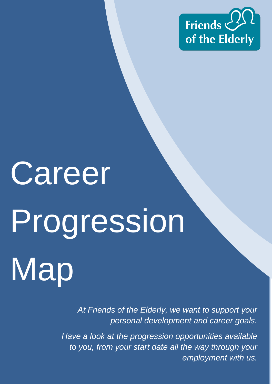

# **Career** Progression Map

*At Friends of the Elderly, we want to support your personal development and career goals.*

*Have a look at the progression opportunities available to you, from your start date all the way through your employment with us.*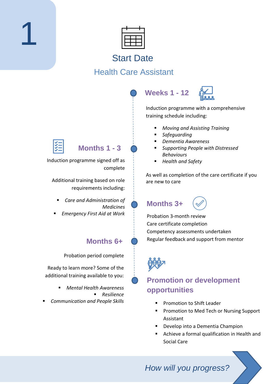

#### Start Date

#### Health Care Assistant





Induction programme with a comprehensive training schedule including:

- *Moving and Assisting Training*
- *Safeguarding*
- *Dementia Awareness*
- *Supporting People with Distressed Behaviours*
- *Health and Safety*

As well as completion of the care certificate if you are new to care

**Months 3+**



Probation 3-month review Care certificate completion Competency assessments undertaken Regular feedback and support from mentor



#### **Promotion or development opportunities**

- Promotion to Shift Leader
- Promotion to Med Tech or Nursing Support Assistant
- Develop into a Dementia Champion
- Achieve a formal qualification in Health and Social Care



1

**Months 1 - 3**

Induction programme signed off as complete

Additional training based on role requirements including:

- *Care and Administration of Medicines*
- *Emergency First Aid at Work*

#### **Months 6+**

Probation period complete

Ready to learn more? Some of the additional training available to you:

- *Mental Health Awareness* ▪ *Resilience*
- *Communication and People Skills*

*How will you progress?*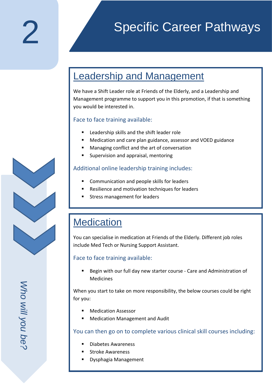## Specific Career Pathways

## Leadership and Management

We have a Shift Leader role at Friends of the Elderly, and a Leadership and Management programme to support you in this promotion, if that is something you would be interested in.

#### Face to face training available:

- Leadership skills and the shift leader role
- Medication and care plan guidance, assessor and VOED guidance
- Managing conflict and the art of conversation
- Supervision and appraisal, mentoring

#### Additional online leadership training includes:

- Communication and people skills for leaders
- Resilience and motivation techniques for leaders
- Stress management for leaders

## **Medication**

You can specialise in medication at Friends of the Elderly. Different job roles include Med Tech or Nursing Support Assistant.

#### Face to face training available:

■ Begin with our full day new starter course - Care and Administration of Medicines

When you start to take on more responsibility, the below courses could be right for you:

- **Medication Assessor**
- Medication Management and Audit

You can then go on to complete various clinical skill courses including:

- Diabetes Awareness
- **Stroke Awareness**
- Dysphagia Management

Who will you be? *Who will you be?*